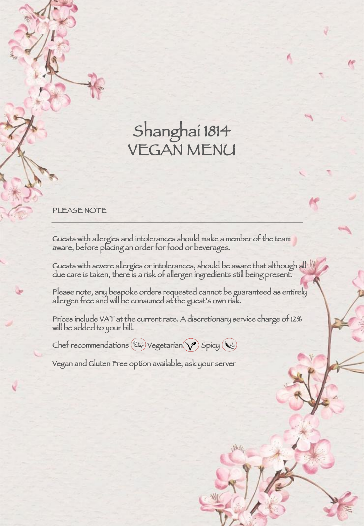## Shanghai 1814 VEGAN MENU

## PLEASE NOTE

Guests with allergies and intolerances should make a member of the team aware, before placing an order for food or beverages.

Guests with severe allergies or intolerances, should be aware that although all due care is taken, there is a risk of allergen ingredients still being present.

Please note, any bespoke orders requested cannot be guaranteed as entirely allergen free and will be consumed at the guest's own risk.

Prices include VAT at the current rate. A discretionary service charge of 12% will be added to your bill.

Chef recommendations  $(\mathbb{C} \mathbb{A})$  Vegetarian  $(\gamma)$  Spicy  $(\mathbb{C} \mathbb{A})$ 

Vegan and Gluten Free option available, ask your server